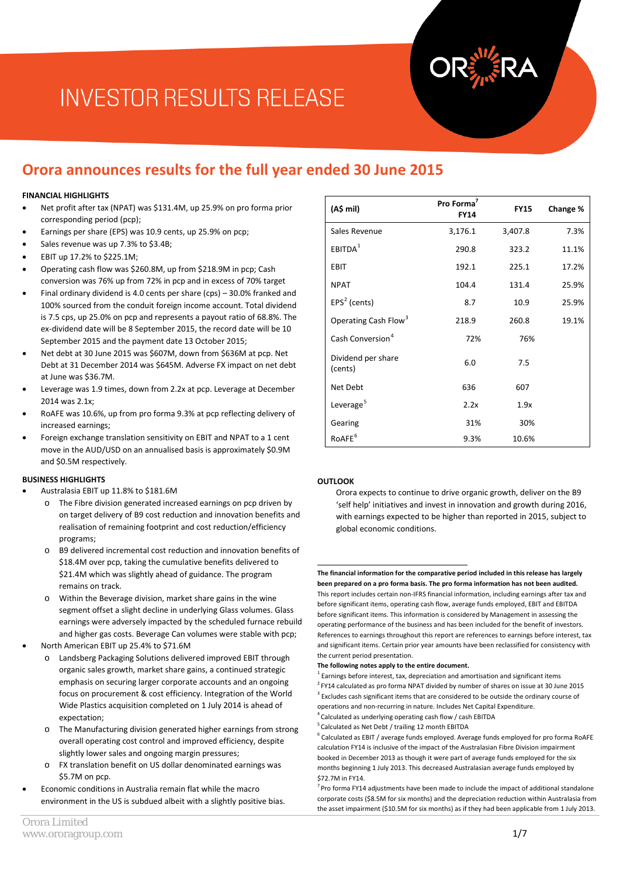# **INVESTOR RESULTS RELEASE**

### **Orora announces results for the full year ended 30 June 2015**

#### **FINANCIAL HIGHLIGHTS**

- Net profit after tax (NPAT) was \$131.4M, up 25.9% on pro forma prior corresponding period (pcp);
- Earnings per share (EPS) was 10.9 cents, up 25.9% on pcp;
- Sales revenue was up 7.3% to \$3.4B;
- EBIT up 17.2% to \$225.1M;
- Operating cash flow was \$260.8M, up from \$218.9M in pcp; Cash conversion was 76% up from 72% in pcp and in excess of 70% target
- Final ordinary dividend is 4.0 cents per share (cps) 30.0% franked and 100% sourced from the conduit foreign income account. Total dividend is 7.5 cps, up 25.0% on pcp and represents a payout ratio of 68.8%. The ex-dividend date will be 8 September 2015, the record date will be 10 September 2015 and the payment date 13 October 2015;
- Net debt at 30 June 2015 was \$607M, down from \$636M at pcp. Net Debt at 31 December 2014 was \$645M. Adverse FX impact on net debt at June was \$36.7M.
- Leverage was 1.9 times, down from 2.2x at pcp. Leverage at December 2014 was 2.1x;
- RoAFE was 10.6%, up from pro forma 9.3% at pcp reflecting delivery of increased earnings;
- Foreign exchange translation sensitivity on EBIT and NPAT to a 1 cent move in the AUD/USD on an annualised basis is approximately \$0.9M and \$0.5M respectively.

#### **BUSINESS HIGHLIGHTS**

- Australasia EBIT up 11.8% to \$181.6M
	- o The Fibre division generated increased earnings on pcp driven by on target delivery of B9 cost reduction and innovation benefits and realisation of remaining footprint and cost reduction/efficiency programs;
	- o B9 delivered incremental cost reduction and innovation benefits of \$18.4M over pcp, taking the cumulative benefits delivered to \$21.4M which was slightly ahead of guidance. The program remains on track.
	- Within the Beverage division, market share gains in the wine segment offset a slight decline in underlying Glass volumes. Glass earnings were adversely impacted by the scheduled furnace rebuild and higher gas costs. Beverage Can volumes were stable with pcp;
- <span id="page-0-3"></span><span id="page-0-2"></span><span id="page-0-1"></span><span id="page-0-0"></span>• North American EBIT up 25.4% to \$71.6M
	- o Landsberg Packaging Solutions delivered improved EBIT through organic sales growth, market share gains, a continued strategic emphasis on securing larger corporate accounts and an ongoing focus on procurement & cost efficiency. Integration of the World Wide Plastics acquisition completed on 1 July 2014 is ahead of expectation;
	- The Manufacturing division generated higher earnings from strong overall operating cost control and improved efficiency, despite slightly lower sales and ongoing margin pressures;
	- o FX translation benefit on US dollar denominated earnings was \$5.7M on pcp.
- <span id="page-0-5"></span><span id="page-0-4"></span>• Economic conditions in Australia remain flat while the macro environment in the US is subdued albeit with a slightly positive bias.

| (A\$ mil)                        | Pro Forma <sup>7</sup><br><b>FY14</b> | <b>FY15</b> | Change % |
|----------------------------------|---------------------------------------|-------------|----------|
| Sales Revenue                    | 3,176.1                               | 3,407.8     | 7.3%     |
| EBITDA <sup>1</sup>              | 290.8                                 | 323.2       | 11.1%    |
| <b>EBIT</b>                      | 192.1                                 | 225.1       | 17.2%    |
| <b>NPAT</b>                      | 104.4                                 | 131.4       | 25.9%    |
| $EPS2$ (cents)                   | 8.7                                   | 10.9        | 25.9%    |
| Operating Cash Flow <sup>3</sup> | 218.9                                 | 260.8       | 19.1%    |
| Cash Conversion <sup>4</sup>     | 72%                                   | 76%         |          |
| Dividend per share<br>(cents)    | 6.0                                   | 7.5         |          |
| Net Debt                         | 636                                   | 607         |          |
| Leverage <sup>5</sup>            | 2.2x                                  | 1.9x        |          |
| Gearing                          | 31%                                   | 30%         |          |
| RoAFE <sup>6</sup>               | 9.3%                                  | 10.6%       |          |

#### **OUTLOOK**

Orora expects to continue to drive organic growth, deliver on the B9 'self help' initiatives and invest in innovation and growth during 2016, with earnings expected to be higher than reported in 2015, subject to global economic conditions.

**The financial information for the comparative period included in this release has largely been prepared on a pro forma basis. The pro forma information has not been audited.**  This report includes certain non-IFRS financial information, including earnings after tax and before significant items, operating cash flow, average funds employed, EBIT and EBITDA before significant items. This information is considered by Management in assessing the operating performance of the business and has been included for the benefit of investors. References to earnings throughout this report are references to earnings before interest, tax and significant items. Certain prior year amounts have been reclassified for consistency with the current period presentation. 1

#### **The following notes apply to the entire document.**

 $1$  Earnings before interest, tax, depreciation and amortisation and significant items  $2$  FY14 calculated as pro forma NPAT divided by number of shares on issue at 30 June 2015 <sup>3</sup> Excludes cash significant items that are considered to be outside the ordinary course of operations and non-recurring in nature. Includes Net Capital Expenditure.

- 4 Calculated as underlying operating cash flow / cash EBITDA
- <sup>5</sup> Calculated as Net Debt / trailing 12 month EBITDA

 $6$  Calculated as EBIT / average funds employed. Average funds employed for pro forma RoAFE calculation FY14 is inclusive of the impact of the Australasian Fibre Division impairment booked in December 2013 as though it were part of average funds employed for the six months beginning 1 July 2013. This decreased Australasian average funds employed by \$72.7M in FY14.

 $7$  Pro forma FY14 adjustments have been made to include the impact of additional standalone corporate costs (\$8.5M for six months) and the depreciation reduction within Australasia from the asset impairment (\$10.5M for six months) as if they had been applicable from 1 July 2013.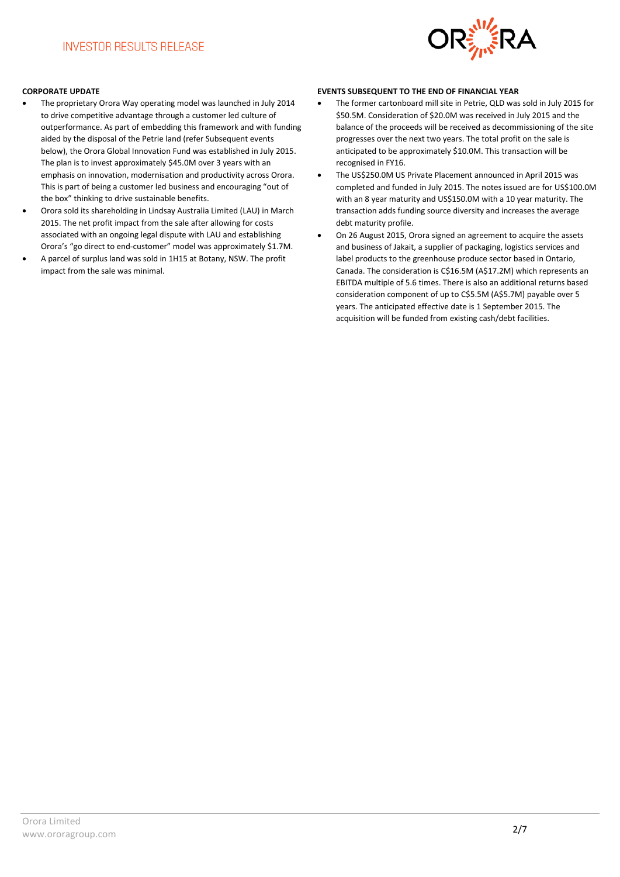

#### **CORPORATE UPDATE**

- The proprietary Orora Way operating model was launched in July 2014 to drive competitive advantage through a customer led culture of outperformance. As part of embedding this framework and with funding aided by the disposal of the Petrie land (refer Subsequent events below), the Orora Global Innovation Fund was established in July 2015. The plan is to invest approximately \$45.0M over 3 years with an emphasis on innovation, modernisation and productivity across Orora. This is part of being a customer led business and encouraging "out of the box" thinking to drive sustainable benefits.
- Orora sold its shareholding in Lindsay Australia Limited (LAU) in March 2015. The net profit impact from the sale after allowing for costs associated with an ongoing legal dispute with LAU and establishing Orora's "go direct to end-customer" model was approximately \$1.7M.
- A parcel of surplus land was sold in 1H15 at Botany, NSW. The profit impact from the sale was minimal.

#### **EVENTS SUBSEQUENT TO THE END OF FINANCIAL YEAR**

- The former cartonboard mill site in Petrie, QLD was sold in July 2015 for \$50.5M. Consideration of \$20.0M was received in July 2015 and the balance of the proceeds will be received as decommissioning of the site progresses over the next two years. The total profit on the sale is anticipated to be approximately \$10.0M. This transaction will be recognised in FY16.
- The US\$250.0M US Private Placement announced in April 2015 was completed and funded in July 2015. The notes issued are for US\$100.0M with an 8 year maturity and US\$150.0M with a 10 year maturity. The transaction adds funding source diversity and increases the average debt maturity profile.
- On 26 August 2015, Orora signed an agreement to acquire the assets and business of Jakait, a supplier of packaging, logistics services and label products to the greenhouse produce sector based in Ontario, Canada. The consideration is C\$16.5M (A\$17.2M) which represents an EBITDA multiple of 5.6 times. There is also an additional returns based consideration component of up to C\$5.5M (A\$5.7M) payable over 5 years. The anticipated effective date is 1 September 2015. The acquisition will be funded from existing cash/debt facilities.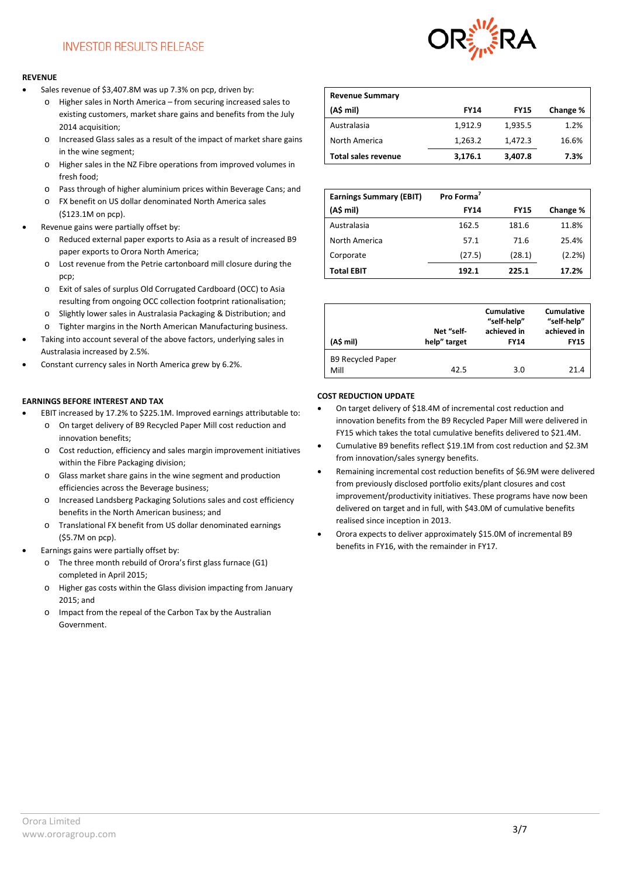### **INVESTOR RESULTS RELEASE**

#### **REVENUE**

- Sales revenue of \$3,407.8M was up 7.3% on pcp, driven by:
	- o Higher sales in North America from securing increased sales to existing customers, market share gains and benefits from the July 2014 acquisition;
	- o Increased Glass sales as a result of the impact of market share gains in the wine segment;
	- o Higher sales in the NZ Fibre operations from improved volumes in fresh food;
	- o Pass through of higher aluminium prices within Beverage Cans; and
	- o FX benefit on US dollar denominated North America sales (\$123.1M on pcp).
- Revenue gains were partially offset by:
	- o Reduced external paper exports to Asia as a result of increased B9 paper exports to Orora North America;
	- o Lost revenue from the Petrie cartonboard mill closure during the pcp;
	- o Exit of sales of surplus Old Corrugated Cardboard (OCC) to Asia resulting from ongoing OCC collection footprint rationalisation;
	- o Slightly lower sales in Australasia Packaging & Distribution; and
	- Tighter margins in the North American Manufacturing business.
- Taking into account several of the above factors, underlying sales in Australasia increased by 2.5%.
- Constant currency sales in North America grew by 6.2%.

#### **EARNINGS BEFORE INTEREST AND TAX**

- EBIT increased by 17.2% to \$225.1M. Improved earnings attributable to:
	- o On target delivery of B9 Recycled Paper Mill cost reduction and innovation benefits;
	- o Cost reduction, efficiency and sales margin improvement initiatives within the Fibre Packaging division;
	- o Glass market share gains in the wine segment and production efficiencies across the Beverage business;
	- o Increased Landsberg Packaging Solutions sales and cost efficiency benefits in the North American business; and
	- o Translational FX benefit from US dollar denominated earnings (\$5.7M on pcp).
- Earnings gains were partially offset by:
	- o The three month rebuild of Orora's first glass furnace (G1) completed in April 2015;
	- o Higher gas costs within the Glass division impacting from January 2015; and
	- o Impact from the repeal of the Carbon Tax by the Australian Government.



| <b>Revenue Summary</b>     |             |             |          |
|----------------------------|-------------|-------------|----------|
| (A\$ mil)                  | <b>FY14</b> | <b>FY15</b> | Change % |
| Australasia                | 1,912.9     | 1,935.5     | 1.2%     |
| North America              | 1,263.2     | 1,472.3     | 16.6%    |
| <b>Total sales revenue</b> | 3,176.1     | 3,407.8     | 7.3%     |

| <b>Earnings Summary (EBIT)</b> | Pro Forma <sup>7</sup> |             |          |
|--------------------------------|------------------------|-------------|----------|
| (A\$ mil)                      | <b>FY14</b>            | <b>FY15</b> | Change % |
| Australasia                    | 162.5                  | 181.6       | 11.8%    |
| North America                  | 57.1                   | 71.6        | 25.4%    |
| Corporate                      | (27.5)                 | (28.1)      | (2.2%)   |
| <b>Total EBIT</b>              | 192.1                  | 225.1       | 17.2%    |

| (A\$ mil)                        | Net "self-<br>help" target | Cumulative<br>"self-help"<br>achieved in<br><b>FY14</b> | Cumulative<br>"self-help"<br>achieved in<br><b>FY15</b> |
|----------------------------------|----------------------------|---------------------------------------------------------|---------------------------------------------------------|
| <b>B9 Recycled Paper</b><br>Mill | 42.5                       | 3.0                                                     | 21.4                                                    |

#### **COST REDUCTION UPDATE**

- On target delivery of \$18.4M of incremental cost reduction and innovation benefits from the B9 Recycled Paper Mill were delivered in FY15 which takes the total cumulative benefits delivered to \$21.4M.
- Cumulative B9 benefits reflect \$19.1M from cost reduction and \$2.3M from innovation/sales synergy benefits.
- Remaining incremental cost reduction benefits of \$6.9M were delivered from previously disclosed portfolio exits/plant closures and cost improvement/productivity initiatives. These programs have now been delivered on target and in full, with \$43.0M of cumulative benefits realised since inception in 2013.
- Orora expects to deliver approximately \$15.0M of incremental B9 benefits in FY16, with the remainder in FY17.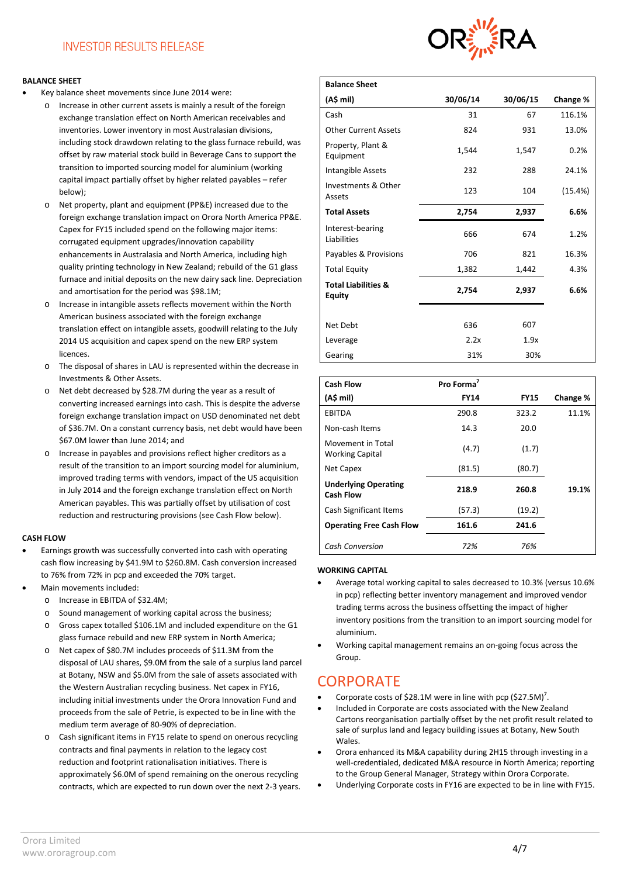#### **BALANCE SHEET**

- Key balance sheet movements since June 2014 were:
	- o Increase in other current assets is mainly a result of the foreign exchange translation effect on North American receivables and inventories. Lower inventory in most Australasian divisions, including stock drawdown relating to the glass furnace rebuild, was offset by raw material stock build in Beverage Cans to support the transition to imported sourcing model for aluminium (working capital impact partially offset by higher related payables – refer below);
	- o Net property, plant and equipment (PP&E) increased due to the foreign exchange translation impact on Orora North America PP&E. Capex for FY15 included spend on the following major items: corrugated equipment upgrades/innovation capability enhancements in Australasia and North America, including high quality printing technology in New Zealand; rebuild of the G1 glass furnace and initial deposits on the new dairy sack line. Depreciation and amortisation for the period was \$98.1M;
	- o Increase in intangible assets reflects movement within the North American business associated with the foreign exchange translation effect on intangible assets, goodwill relating to the July 2014 US acquisition and capex spend on the new ERP system **licences**
	- o The disposal of shares in LAU is represented within the decrease in Investments & Other Assets.
	- Net debt decreased by \$28.7M during the year as a result of converting increased earnings into cash. This is despite the adverse foreign exchange translation impact on USD denominated net debt of \$36.7M. On a constant currency basis, net debt would have been \$67.0M lower than June 2014; and
	- o Increase in payables and provisions reflect higher creditors as a result of the transition to an import sourcing model for aluminium, improved trading terms with vendors, impact of the US acquisition in July 2014 and the foreign exchange translation effect on North American payables. This was partially offset by utilisation of cost reduction and restructuring provisions (see Cash Flow below).

#### **CASH FLOW**

- Earnings growth was successfully converted into cash with operating cash flow increasing by \$41.9M to \$260.8M. Cash conversion increased to 76% from 72% in pcp and exceeded the 70% target.
- Main movements included:
	- o Increase in EBITDA of \$32.4M;
	- Sound management of working capital across the business;
	- Gross capex totalled \$106.1M and included expenditure on the G1 glass furnace rebuild and new ERP system in North America;
	- o Net capex of \$80.7M includes proceeds of \$11.3M from the disposal of LAU shares, \$9.0M from the sale of a surplus land parcel at Botany, NSW and \$5.0M from the sale of assets associated with the Western Australian recycling business. Net capex in FY16, including initial investments under the Orora Innovation Fund and proceeds from the sale of Petrie, is expected to be in line with the medium term average of 80-90% of depreciation.
	- o Cash significant items in FY15 relate to spend on onerous recycling contracts and final payments in relation to the legacy cost reduction and footprint rationalisation initiatives. There is approximately \$6.0M of spend remaining on the onerous recycling contracts, which are expected to run down over the next 2-3 years.



| <b>Balance Sheet</b>                            |          |          |          |
|-------------------------------------------------|----------|----------|----------|
| (A\$ mil)                                       | 30/06/14 | 30/06/15 | Change % |
| Cash                                            | 31       | 67       | 116.1%   |
| <b>Other Current Assets</b>                     | 824      | 931      | 13.0%    |
| Property, Plant &<br>Equipment                  | 1,544    | 1,547    | 0.2%     |
| Intangible Assets                               | 232      | 288      | 24.1%    |
| Investments & Other<br>Assets                   | 123      | 104      | (15.4%)  |
| <b>Total Assets</b>                             | 2,754    | 2,937    | 6.6%     |
| Interest-bearing<br>Liabilities                 | 666      | 674      | 1.2%     |
| Payables & Provisions                           | 706      | 821      | 16.3%    |
| <b>Total Equity</b>                             | 1,382    | 1,442    | 4.3%     |
| <b>Total Liabilities &amp;</b><br><b>Equity</b> | 2,754    | 2,937    | 6.6%     |
|                                                 |          |          |          |
| Net Debt                                        | 636      | 607      |          |
| Leverage                                        | 2.2x     | 1.9x     |          |
| Gearing                                         | 31%      | 30%      |          |

| <b>Cash Flow</b>                                | Pro Forma <sup>7</sup> |             |          |
|-------------------------------------------------|------------------------|-------------|----------|
| (A\$ mil)                                       | <b>FY14</b>            | <b>FY15</b> | Change % |
| <b>EBITDA</b>                                   | 290.8                  | 323.2       | 11.1%    |
| Non-cash Items                                  | 14.3                   | 20.0        |          |
| Movement in Total<br><b>Working Capital</b>     | (4.7)                  | (1.7)       |          |
| Net Capex                                       | (81.5)                 | (80.7)      |          |
| <b>Underlying Operating</b><br><b>Cash Flow</b> | 218.9                  | 260.8       | 19.1%    |
| Cash Significant Items                          | (57.3)                 | (19.2)      |          |
| <b>Operating Free Cash Flow</b>                 | 161.6                  | 241.6       |          |
| <b>Cash Conversion</b>                          | 72%                    | 76%         |          |

#### **WORKING CAPITAL**

- Average total working capital to sales decreased to 10.3% (versus 10.6% in pcp) reflecting better inventory management and improved vendor trading terms across the business offsetting the impact of higher inventory positions from the transition to an import sourcing model for aluminium.
- Working capital management remains an on-going focus across the Group.

### **CORPORATE**

- Corporate costs of \$28.1M were in line with pcp  $($27.5M)$ <sup>7</sup>.
- Included in Corporate are costs associated with the New Zealand Cartons reorganisation partially offset by the net profit result related to sale of surplus land and legacy building issues at Botany, New South Wales.
- Orora enhanced its M&A capability during 2H15 through investing in a well-credentialed, dedicated M&A resource in North America; reporting to the Group General Manager, Strategy within Orora Corporate.
- Underlying Corporate costs in FY16 are expected to be in line with FY15.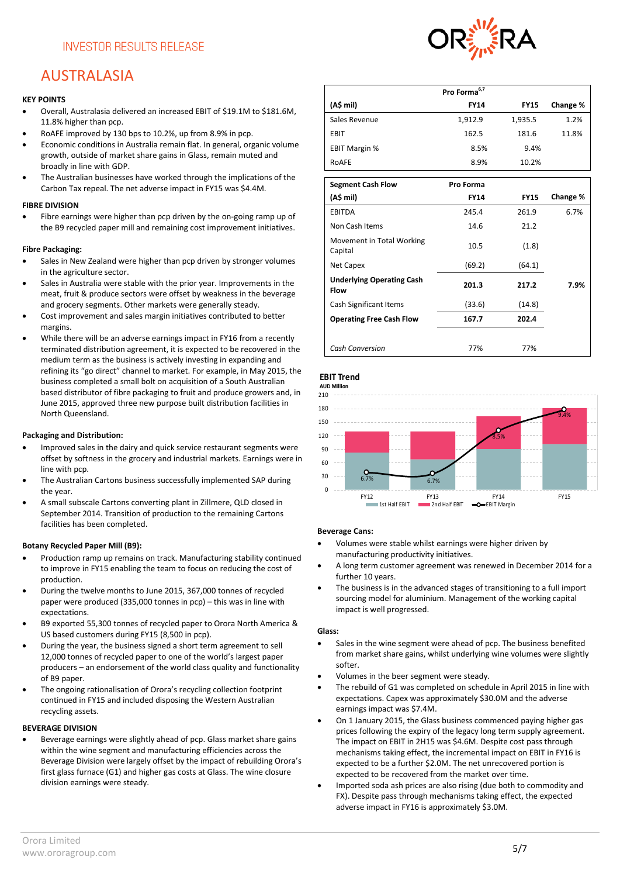# AUSTRALASIA

#### **KEY POINTS**

- Overall, Australasia delivered an increased EBIT of \$19.1M to \$181.6M, 11.8% higher than pcp.
- RoAFE improved by 130 bps to 10.2%, up from 8.9% in pcp.
- Economic conditions in Australia remain flat. In general, organic volume growth, outside of market share gains in Glass, remain muted and broadly in line with GDP.
- The Australian businesses have worked through the implications of the Carbon Tax repeal. The net adverse impact in FY15 was \$4.4M.

#### **FIBRE DIVISION**

• Fibre earnings were higher than pcp driven by the on-going ramp up of the B9 recycled paper mill and remaining cost improvement initiatives.

#### **Fibre Packaging:**

- Sales in New Zealand were higher than pcp driven by stronger volumes in the agriculture sector.
- Sales in Australia were stable with the prior year. Improvements in the meat, fruit & produce sectors were offset by weakness in the beverage and grocery segments. Other markets were generally steady.
- Cost improvement and sales margin initiatives contributed to better margins.
- While there will be an adverse earnings impact in FY16 from a recently terminated distribution agreement, it is expected to be recovered in the medium term as the business is actively investing in expanding and refining its "go direct" channel to market. For example, in May 2015, the business completed a small bolt on acquisition of a South Australian based distributor of fibre packaging to fruit and produce growers and, in June 2015, approved three new purpose built distribution facilities in North Queensland.

#### **Packaging and Distribution:**

- Improved sales in the dairy and quick service restaurant segments were offset by softness in the grocery and industrial markets. Earnings were in line with pcp.
- The Australian Cartons business successfully implemented SAP during the year.
- A small subscale Cartons converting plant in Zillmere, QLD closed in September 2014. Transition of production to the remaining Cartons facilities has been completed.

#### **Botany Recycled Paper Mill (B9):**

- Production ramp up remains on track. Manufacturing stability continued to improve in FY15 enabling the team to focus on reducing the cost of production.
- During the twelve months to June 2015, 367,000 tonnes of recycled paper were produced (335,000 tonnes in pcp) – this was in line with expectations.
- B9 exported 55,300 tonnes of recycled paper to Orora North America & US based customers during FY15 (8,500 in pcp).
- During the year, the business signed a short term agreement to sell 12,000 tonnes of recycled paper to one of the world's largest paper producers – an endorsement of the world class quality and functionality of B9 paper.
- The ongoing rationalisation of Orora's recycling collection footprint continued in FY15 and included disposing the Western Australian recycling assets.

#### **BEVERAGE DIVISION**

• Beverage earnings were slightly ahead of pcp. Glass market share gains within the wine segment and manufacturing efficiencies across the Beverage Division were largely offset by the impact of rebuilding Orora's first glass furnace (G1) and higher gas costs at Glass. The wine closure division earnings were steady.



|                      | Pro Forma <sup>6,7</sup> |             |          |
|----------------------|--------------------------|-------------|----------|
| (A\$ mil)            | <b>FY14</b>              | <b>FY15</b> | Change % |
| Sales Revenue        | 1,912.9                  | 1,935.5     | 1.2%     |
| EBIT                 | 162.5                    | 181.6       | 11.8%    |
| <b>EBIT Margin %</b> | 8.5%                     | 9.4%        |          |
| RoAFE                | 8.9%                     | 10.2%       |          |
|                      |                          |             |          |

| <b>Segment Cash Flow</b>                        | Pro Forma   |             |          |
|-------------------------------------------------|-------------|-------------|----------|
| (A\$ mil)                                       | <b>FY14</b> | <b>FY15</b> | Change % |
| EBITDA                                          | 245.4       | 261.9       | 6.7%     |
| Non Cash Items                                  | 14.6        | 21.2        |          |
| Movement in Total Working<br>Capital            | 10.5        | (1.8)       |          |
| Net Capex                                       | (69.2)      | (64.1)      |          |
| <b>Underlying Operating Cash</b><br><b>Flow</b> | 201.3       | 217.2       | 7.9%     |
| Cash Significant Items                          | (33.6)      | (14.8)      |          |
| <b>Operating Free Cash Flow</b>                 | 167.7       | 202.4       |          |
|                                                 |             |             |          |
| <b>Cash Conversion</b>                          | 77%         | 77%         |          |

#### **EBIT Trend**



#### **Beverage Cans:**

- Volumes were stable whilst earnings were higher driven by manufacturing productivity initiatives.
- A long term customer agreement was renewed in December 2014 for a further 10 years.
- The business is in the advanced stages of transitioning to a full import sourcing model for aluminium. Management of the working capital impact is well progressed.

#### **Glass:**

- Sales in the wine segment were ahead of pcp. The business benefited from market share gains, whilst underlying wine volumes were slightly softer.
- Volumes in the beer segment were steady.
- The rebuild of G1 was completed on schedule in April 2015 in line with expectations. Capex was approximately \$30.0M and the adverse earnings impact was \$7.4M.
- On 1 January 2015, the Glass business commenced paying higher gas prices following the expiry of the legacy long term supply agreement. The impact on EBIT in 2H15 was \$4.6M. Despite cost pass through mechanisms taking effect, the incremental impact on EBIT in FY16 is expected to be a further \$2.0M. The net unrecovered portion is expected to be recovered from the market over time.
- Imported soda ash prices are also rising (due both to commodity and FX). Despite pass through mechanisms taking effect, the expected adverse impact in FY16 is approximately \$3.0M.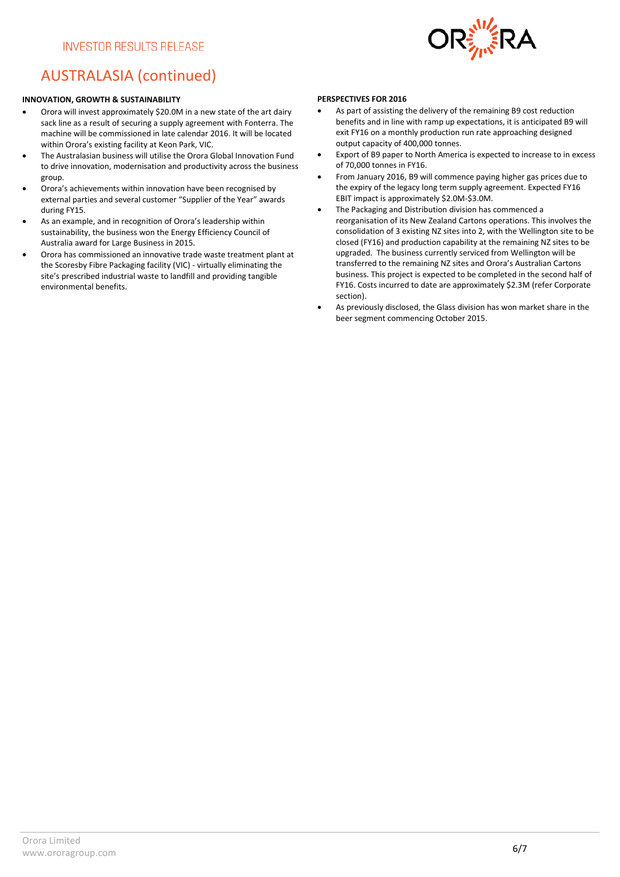

## AUSTRALASIA (continued)

#### **INNOVATION, GROWTH & SUSTAINABILITY**

- Orora will invest approximately \$20.0M in a new state of the art dairy sack line as a result of securing a supply agreement with Fonterra. The machine will be commissioned in late calendar 2016. It will be located within Orora's existing facility at Keon Park, VIC.
- The Australasian business will utilise the Orora Global Innovation Fund to drive innovation, modernisation and productivity across the business group.
- Orora's achievements within innovation have been recognised by external parties and several customer "Supplier of the Year" awards during FY15.
- As an example, and in recognition of Orora's leadership within sustainability, the business won the Energy Efficiency Council of Australia award for Large Business in 2015.
- Orora has commissioned an innovative trade waste treatment plant at the Scoresby Fibre Packaging facility (VIC) - virtually eliminating the site's prescribed industrial waste to landfill and providing tangible environmental benefits.

#### **PERSPECTIVES FOR 2016**

- As part of assisting the delivery of the remaining B9 cost reduction benefits and in line with ramp up expectations, it is anticipated B9 will exit FY16 on a monthly production run rate approaching designed output capacity of 400,000 tonnes.
- Export of B9 paper to North America is expected to increase to in excess of 70,000 tonnes in FY16.
- From January 2016, B9 will commence paying higher gas prices due to the expiry of the legacy long term supply agreement. Expected FY16 EBIT impact is approximately \$2.0M-\$3.0M.
- The Packaging and Distribution division has commenced a reorganisation of its New Zealand Cartons operations. This involves the consolidation of 3 existing NZ sites into 2, with the Wellington site to be closed (FY16) and production capability at the remaining NZ sites to be upgraded. The business currently serviced from Wellington will be transferred to the remaining NZ sites and Orora's Australian Cartons business. This project is expected to be completed in the second half of FY16. Costs incurred to date are approximately \$2.3M (refer Corporate section).
- As previously disclosed, the Glass division has won market share in the beer segment commencing October 2015.